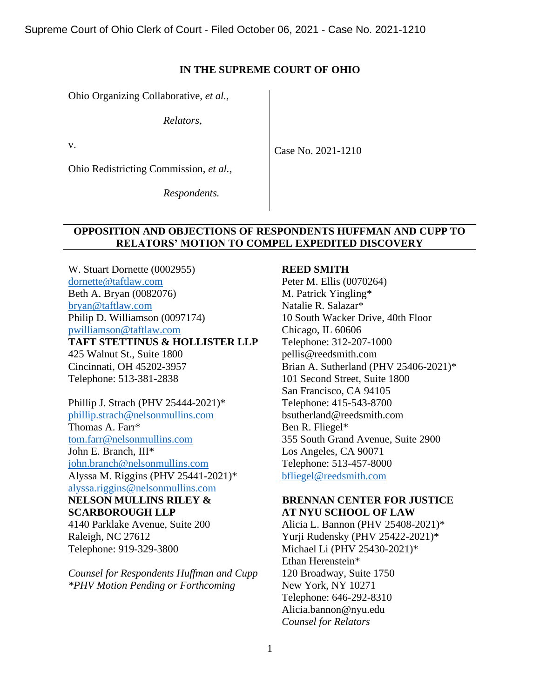Supreme Court of Ohio Clerk of Court - Filed October 06, 2021 - Case No. 2021-1210

### **IN THE SUPREME COURT OF OHIO**

Ohio Organizing Collaborative, *et al.*,

*Relators*,

v.

Case No. 2021-1210

Ohio Redistricting Commission, *et al.,*

*Respondents.*

## **OPPOSITION AND OBJECTIONS OF RESPONDENTS HUFFMAN AND CUPP TO RELATORS' MOTION TO COMPEL EXPEDITED DISCOVERY**

W. Stuart Dornette (0002955) [dornette@taftlaw.com](mailto:dornette@taftlaw.com) Beth A. Bryan (0082076) [bryan@taftlaw.com](mailto:bryan@taftlaw.com) Philip D. Williamson (0097174) [pwilliamson@taftlaw.com](mailto:pwilliamson@taftlaw.com) **TAFT STETTINUS & HOLLISTER LLP** 425 Walnut St., Suite 1800 Cincinnati, OH 45202-3957 Telephone: 513-381-2838

Phillip J. Strach (PHV 25444-2021)\* [phillip.strach@nelsonmullins.com](mailto:phillip.strach@nelsonmullins.com) Thomas A. Farr\* [tom.farr@nelsonmullins.com](mailto:tom.farr@nelsonmullins.com) John E. Branch, III\* [john.branch@nelsonmullins.com](mailto:john.branch@nelsonmullins.com) Alyssa M. Riggins (PHV 25441-2021)\* [alyssa.riggins@nelsonmullins.com](mailto:alyssa.riggins@nelsonmullins.com) **NELSON MULLINS RILEY &** 

# **SCARBOROUGH LLP** 4140 Parklake Avenue, Suite 200 Raleigh, NC 27612 Telephone: 919-329-3800

*Counsel for Respondents Huffman and Cupp \*PHV Motion Pending or Forthcoming*

### **REED SMITH**

Peter M. Ellis (0070264) M. Patrick Yingling\* Natalie R. Salazar\* 10 South Wacker Drive, 40th Floor Chicago, IL 60606 Telephone: 312-207-1000 pellis@reedsmith.com Brian A. Sutherland (PHV 25406-2021)\* 101 Second Street, Suite 1800 San Francisco, CA 94105 Telephone: 415-543-8700 bsutherland@reedsmith.com Ben R. Fliegel\* 355 South Grand Avenue, Suite 2900 Los Angeles, CA 90071 Telephone: 513-457-8000 [bfliegel@reedsmith.com](mailto:bfliegel@reedsmith.com)

# **BRENNAN CENTER FOR JUSTICE AT NYU SCHOOL OF LAW**

Alicia L. Bannon (PHV 25408-2021)\* Yurji Rudensky (PHV 25422-2021)\* Michael Li (PHV 25430-2021)\* Ethan Herenstein\* 120 Broadway, Suite 1750 New York, NY 10271 Telephone: 646-292-8310 Alicia.bannon@nyu.edu *Counsel for Relators*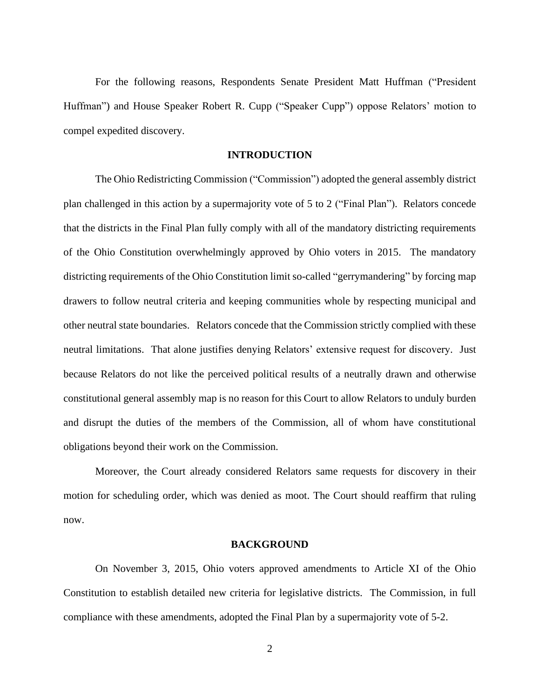For the following reasons, Respondents Senate President Matt Huffman ("President Huffman") and House Speaker Robert R. Cupp ("Speaker Cupp") oppose Relators' motion to compel expedited discovery.

### **INTRODUCTION**

The Ohio Redistricting Commission ("Commission") adopted the general assembly district plan challenged in this action by a supermajority vote of 5 to 2 ("Final Plan"). Relators concede that the districts in the Final Plan fully comply with all of the mandatory districting requirements of the Ohio Constitution overwhelmingly approved by Ohio voters in 2015. The mandatory districting requirements of the Ohio Constitution limit so-called "gerrymandering" by forcing map drawers to follow neutral criteria and keeping communities whole by respecting municipal and other neutral state boundaries. Relators concede that the Commission strictly complied with these neutral limitations. That alone justifies denying Relators' extensive request for discovery. Just because Relators do not like the perceived political results of a neutrally drawn and otherwise constitutional general assembly map is no reason for this Court to allow Relators to unduly burden and disrupt the duties of the members of the Commission, all of whom have constitutional obligations beyond their work on the Commission.

Moreover, the Court already considered Relators same requests for discovery in their motion for scheduling order, which was denied as moot. The Court should reaffirm that ruling now.

### **BACKGROUND**

On November 3, 2015, Ohio voters approved amendments to Article XI of the Ohio Constitution to establish detailed new criteria for legislative districts. The Commission, in full compliance with these amendments, adopted the Final Plan by a supermajority vote of 5-2.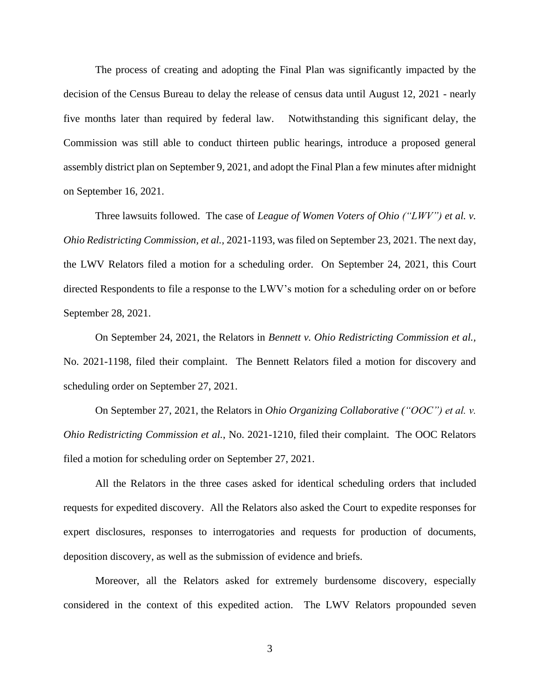The process of creating and adopting the Final Plan was significantly impacted by the decision of the Census Bureau to delay the release of census data until August 12, 2021 - nearly five months later than required by federal law. Notwithstanding this significant delay, the Commission was still able to conduct thirteen public hearings, introduce a proposed general assembly district plan on September 9, 2021, and adopt the Final Plan a few minutes after midnight on September 16, 2021.

Three lawsuits followed. The case of *League of Women Voters of Ohio ("LWV") et al. v. Ohio Redistricting Commission, et al.,* 2021-1193, was filed on September 23, 2021. The next day, the LWV Relators filed a motion for a scheduling order. On September 24, 2021, this Court directed Respondents to file a response to the LWV's motion for a scheduling order on or before September 28, 2021.

On September 24, 2021, the Relators in *Bennett v. Ohio Redistricting Commission et al.,*  No. 2021-1198, filed their complaint. The Bennett Relators filed a motion for discovery and scheduling order on September 27, 2021.

On September 27, 2021, the Relators in *Ohio Organizing Collaborative ("OOC") et al. v. Ohio Redistricting Commission et al.*, No. 2021-1210, filed their complaint. The OOC Relators filed a motion for scheduling order on September 27, 2021.

All the Relators in the three cases asked for identical scheduling orders that included requests for expedited discovery. All the Relators also asked the Court to expedite responses for expert disclosures, responses to interrogatories and requests for production of documents, deposition discovery, as well as the submission of evidence and briefs.

Moreover, all the Relators asked for extremely burdensome discovery, especially considered in the context of this expedited action. The LWV Relators propounded seven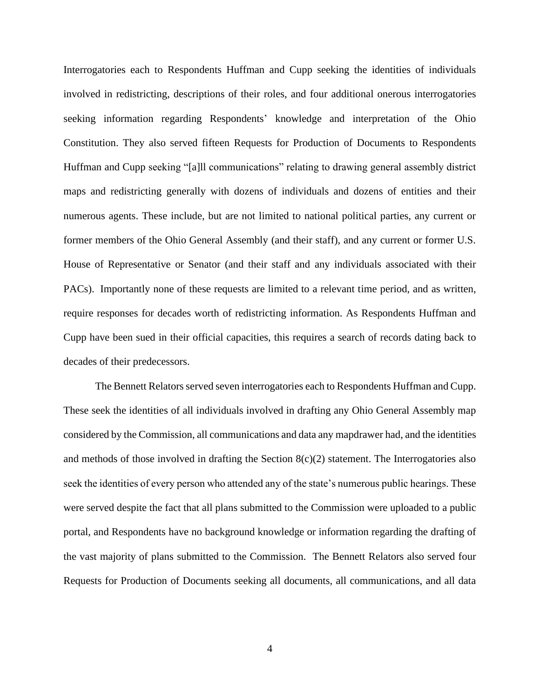Interrogatories each to Respondents Huffman and Cupp seeking the identities of individuals involved in redistricting, descriptions of their roles, and four additional onerous interrogatories seeking information regarding Respondents' knowledge and interpretation of the Ohio Constitution. They also served fifteen Requests for Production of Documents to Respondents Huffman and Cupp seeking "[a]ll communications" relating to drawing general assembly district maps and redistricting generally with dozens of individuals and dozens of entities and their numerous agents. These include, but are not limited to national political parties, any current or former members of the Ohio General Assembly (and their staff), and any current or former U.S. House of Representative or Senator (and their staff and any individuals associated with their PACs). Importantly none of these requests are limited to a relevant time period, and as written, require responses for decades worth of redistricting information. As Respondents Huffman and Cupp have been sued in their official capacities, this requires a search of records dating back to decades of their predecessors.

The Bennett Relators served seven interrogatories each to Respondents Huffman and Cupp. These seek the identities of all individuals involved in drafting any Ohio General Assembly map considered by the Commission, all communications and data any mapdrawer had, and the identities and methods of those involved in drafting the Section  $8(c)(2)$  statement. The Interrogatories also seek the identities of every person who attended any of the state's numerous public hearings. These were served despite the fact that all plans submitted to the Commission were uploaded to a public portal, and Respondents have no background knowledge or information regarding the drafting of the vast majority of plans submitted to the Commission. The Bennett Relators also served four Requests for Production of Documents seeking all documents, all communications, and all data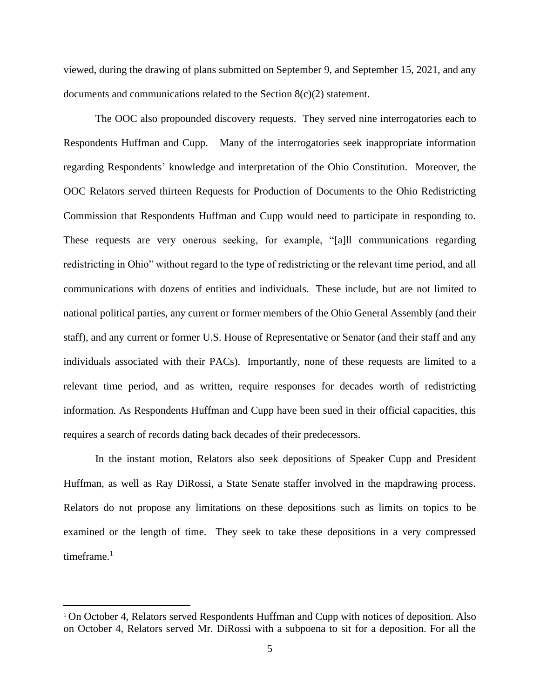viewed, during the drawing of plans submitted on September 9, and September 15, 2021, and any documents and communications related to the Section 8(c)(2) statement.

The OOC also propounded discovery requests. They served nine interrogatories each to Respondents Huffman and Cupp. Many of the interrogatories seek inappropriate information regarding Respondents' knowledge and interpretation of the Ohio Constitution. Moreover, the OOC Relators served thirteen Requests for Production of Documents to the Ohio Redistricting Commission that Respondents Huffman and Cupp would need to participate in responding to. These requests are very onerous seeking, for example, "[a]ll communications regarding redistricting in Ohio" without regard to the type of redistricting or the relevant time period, and all communications with dozens of entities and individuals. These include, but are not limited to national political parties, any current or former members of the Ohio General Assembly (and their staff), and any current or former U.S. House of Representative or Senator (and their staff and any individuals associated with their PACs). Importantly, none of these requests are limited to a relevant time period, and as written, require responses for decades worth of redistricting information. As Respondents Huffman and Cupp have been sued in their official capacities, this requires a search of records dating back decades of their predecessors.

In the instant motion, Relators also seek depositions of Speaker Cupp and President Huffman, as well as Ray DiRossi, a State Senate staffer involved in the mapdrawing process. Relators do not propose any limitations on these depositions such as limits on topics to be examined or the length of time. They seek to take these depositions in a very compressed timeframe. $1$ 

<sup>1</sup> On October 4, Relators served Respondents Huffman and Cupp with notices of deposition. Also on October 4, Relators served Mr. DiRossi with a subpoena to sit for a deposition. For all the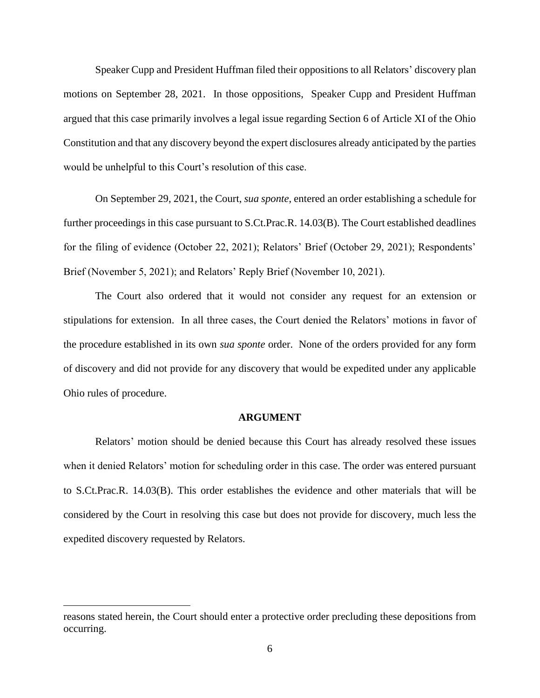Speaker Cupp and President Huffman filed their oppositions to all Relators' discovery plan motions on September 28, 2021. In those oppositions, Speaker Cupp and President Huffman argued that this case primarily involves a legal issue regarding Section 6 of Article XI of the Ohio Constitution and that any discovery beyond the expert disclosures already anticipated by the parties would be unhelpful to this Court's resolution of this case.

On September 29, 2021, the Court, *sua sponte*, entered an order establishing a schedule for further proceedings in this case pursuant to S.Ct.Prac.R. 14.03(B). The Court established deadlines for the filing of evidence (October 22, 2021); Relators' Brief (October 29, 2021); Respondents' Brief (November 5, 2021); and Relators' Reply Brief (November 10, 2021).

The Court also ordered that it would not consider any request for an extension or stipulations for extension. In all three cases, the Court denied the Relators' motions in favor of the procedure established in its own *sua sponte* order. None of the orders provided for any form of discovery and did not provide for any discovery that would be expedited under any applicable Ohio rules of procedure.

#### **ARGUMENT**

 Relators' motion should be denied because this Court has already resolved these issues when it denied Relators' motion for scheduling order in this case. The order was entered pursuant to S.Ct.Prac.R. 14.03(B). This order establishes the evidence and other materials that will be considered by the Court in resolving this case but does not provide for discovery, much less the expedited discovery requested by Relators.

reasons stated herein, the Court should enter a protective order precluding these depositions from occurring.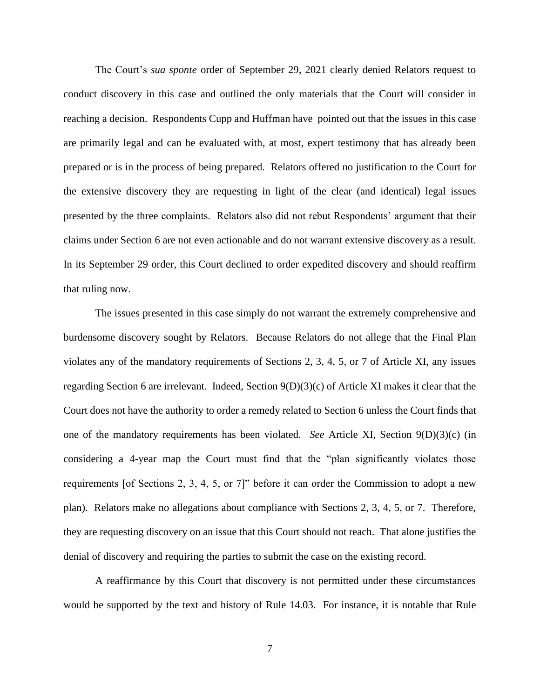The Court's *sua sponte* order of September 29, 2021 clearly denied Relators request to conduct discovery in this case and outlined the only materials that the Court will consider in reaching a decision. Respondents Cupp and Huffman have pointed out that the issues in this case are primarily legal and can be evaluated with, at most, expert testimony that has already been prepared or is in the process of being prepared. Relators offered no justification to the Court for the extensive discovery they are requesting in light of the clear (and identical) legal issues presented by the three complaints. Relators also did not rebut Respondents' argument that their claims under Section 6 are not even actionable and do not warrant extensive discovery as a result. In its September 29 order, this Court declined to order expedited discovery and should reaffirm that ruling now.

The issues presented in this case simply do not warrant the extremely comprehensive and burdensome discovery sought by Relators. Because Relators do not allege that the Final Plan violates any of the mandatory requirements of Sections 2, 3, 4, 5, or 7 of Article XI, any issues regarding Section 6 are irrelevant. Indeed, Section 9(D)(3)(c) of Article XI makes it clear that the Court does not have the authority to order a remedy related to Section 6 unless the Court finds that one of the mandatory requirements has been violated. *See* Article XI, Section 9(D)(3)(c) (in considering a 4-year map the Court must find that the "plan significantly violates those requirements [of Sections 2, 3, 4, 5, or 7]" before it can order the Commission to adopt a new plan). Relators make no allegations about compliance with Sections 2, 3, 4, 5, or 7. Therefore, they are requesting discovery on an issue that this Court should not reach. That alone justifies the denial of discovery and requiring the parties to submit the case on the existing record.

A reaffirmance by this Court that discovery is not permitted under these circumstances would be supported by the text and history of Rule 14.03. For instance, it is notable that Rule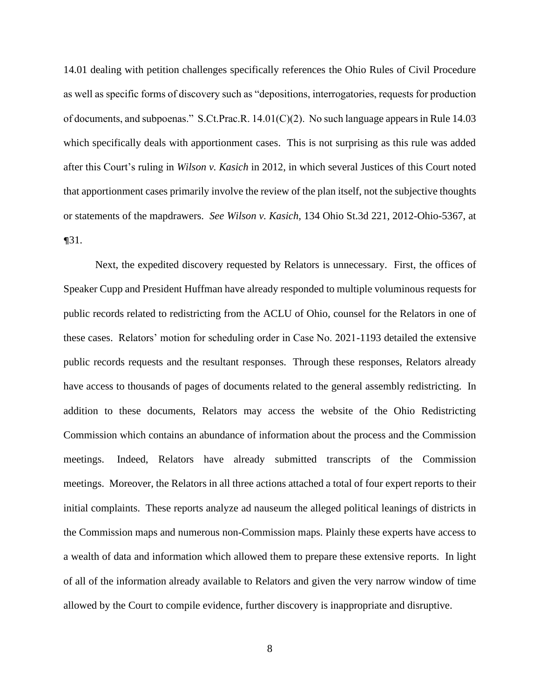14.01 dealing with petition challenges specifically references the Ohio Rules of Civil Procedure as well as specific forms of discovery such as "depositions, interrogatories, requests for production of documents, and subpoenas." S.Ct.Prac.R.  $14.01(C)(2)$ . No such language appears in Rule 14.03 which specifically deals with apportionment cases. This is not surprising as this rule was added after this Court's ruling in *Wilson v. Kasich* in 2012, in which several Justices of this Court noted that apportionment cases primarily involve the review of the plan itself, not the subjective thoughts or statements of the mapdrawers. *See Wilson v. Kasich,* 134 Ohio St.3d 221, 2012-Ohio-5367, at ¶31.

Next, the expedited discovery requested by Relators is unnecessary. First, the offices of Speaker Cupp and President Huffman have already responded to multiple voluminous requests for public records related to redistricting from the ACLU of Ohio, counsel for the Relators in one of these cases. Relators' motion for scheduling order in Case No. 2021-1193 detailed the extensive public records requests and the resultant responses. Through these responses, Relators already have access to thousands of pages of documents related to the general assembly redistricting. In addition to these documents, Relators may access the website of the Ohio Redistricting Commission which contains an abundance of information about the process and the Commission meetings. Indeed, Relators have already submitted transcripts of the Commission meetings. Moreover, the Relators in all three actions attached a total of four expert reports to their initial complaints. These reports analyze ad nauseum the alleged political leanings of districts in the Commission maps and numerous non-Commission maps. Plainly these experts have access to a wealth of data and information which allowed them to prepare these extensive reports. In light of all of the information already available to Relators and given the very narrow window of time allowed by the Court to compile evidence, further discovery is inappropriate and disruptive.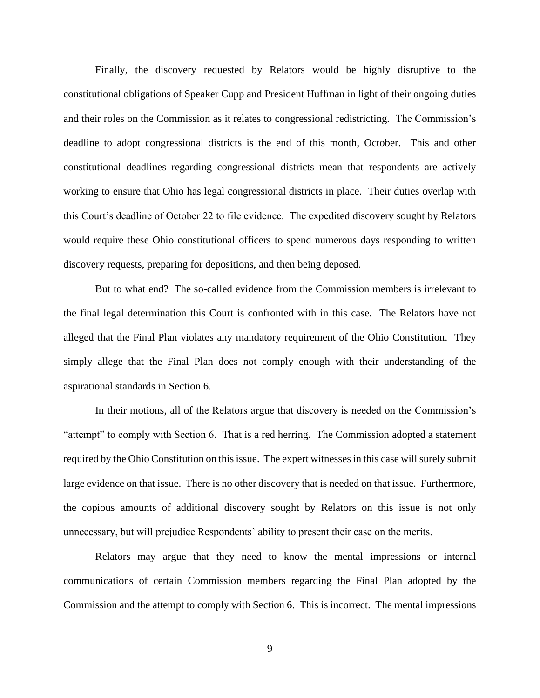Finally, the discovery requested by Relators would be highly disruptive to the constitutional obligations of Speaker Cupp and President Huffman in light of their ongoing duties and their roles on the Commission as it relates to congressional redistricting. The Commission's deadline to adopt congressional districts is the end of this month, October. This and other constitutional deadlines regarding congressional districts mean that respondents are actively working to ensure that Ohio has legal congressional districts in place. Their duties overlap with this Court's deadline of October 22 to file evidence. The expedited discovery sought by Relators would require these Ohio constitutional officers to spend numerous days responding to written discovery requests, preparing for depositions, and then being deposed.

But to what end? The so-called evidence from the Commission members is irrelevant to the final legal determination this Court is confronted with in this case. The Relators have not alleged that the Final Plan violates any mandatory requirement of the Ohio Constitution. They simply allege that the Final Plan does not comply enough with their understanding of the aspirational standards in Section 6.

In their motions, all of the Relators argue that discovery is needed on the Commission's "attempt" to comply with Section 6. That is a red herring. The Commission adopted a statement required by the Ohio Constitution on this issue. The expert witnesses in this case will surely submit large evidence on that issue. There is no other discovery that is needed on that issue. Furthermore, the copious amounts of additional discovery sought by Relators on this issue is not only unnecessary, but will prejudice Respondents' ability to present their case on the merits.

Relators may argue that they need to know the mental impressions or internal communications of certain Commission members regarding the Final Plan adopted by the Commission and the attempt to comply with Section 6. This is incorrect. The mental impressions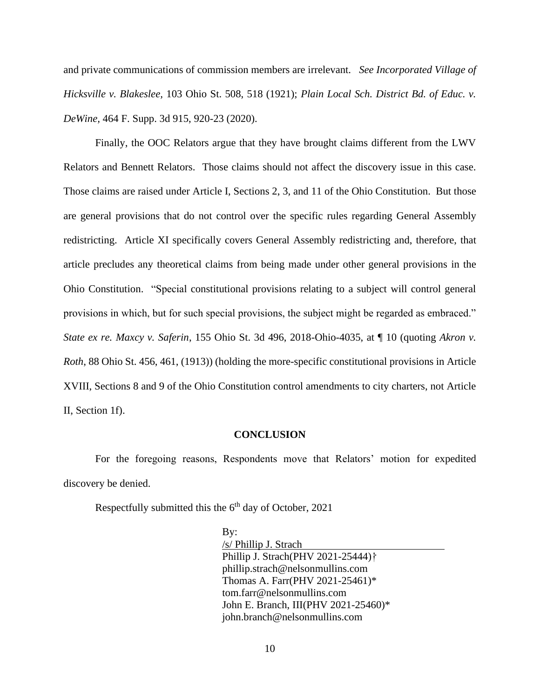and private communications of commission members are irrelevant. *See Incorporated Village of Hicksville v. Blakeslee,* 103 Ohio St. 508, 518 (1921); *Plain Local Sch. District Bd. of Educ. v. DeWine,* 464 F. Supp. 3d 915, 920-23 (2020).

Finally, the OOC Relators argue that they have brought claims different from the LWV Relators and Bennett Relators. Those claims should not affect the discovery issue in this case. Those claims are raised under Article I, Sections 2, 3, and 11 of the Ohio Constitution. But those are general provisions that do not control over the specific rules regarding General Assembly redistricting. Article XI specifically covers General Assembly redistricting and, therefore, that article precludes any theoretical claims from being made under other general provisions in the Ohio Constitution. "Special constitutional provisions relating to a subject will control general provisions in which, but for such special provisions, the subject might be regarded as embraced." *State ex re. Maxcy v. Saferin*, 155 Ohio St. 3d 496, 2018-Ohio-4035, at ¶ 10 (quoting *Akron v. Roth*, 88 Ohio St. 456, 461, (1913)) (holding the more-specific constitutional provisions in Article XVIII, Sections 8 and 9 of the Ohio Constitution control amendments to city charters, not Article II, Section 1f).

#### **CONCLUSION**

For the foregoing reasons, Respondents move that Relators' motion for expedited discovery be denied.

Respectfully submitted this the  $6<sup>th</sup>$  day of October, 2021

By: /s/ Phillip J. Strach Phillip J. Strach(PHV 2021-25444)<sup>†</sup> phillip.strach@nelsonmullins.com Thomas A. Farr(PHV 2021-25461)\* tom.farr@nelsonmullins.com John E. Branch, III(PHV 2021-25460)\* john.branch@nelsonmullins.com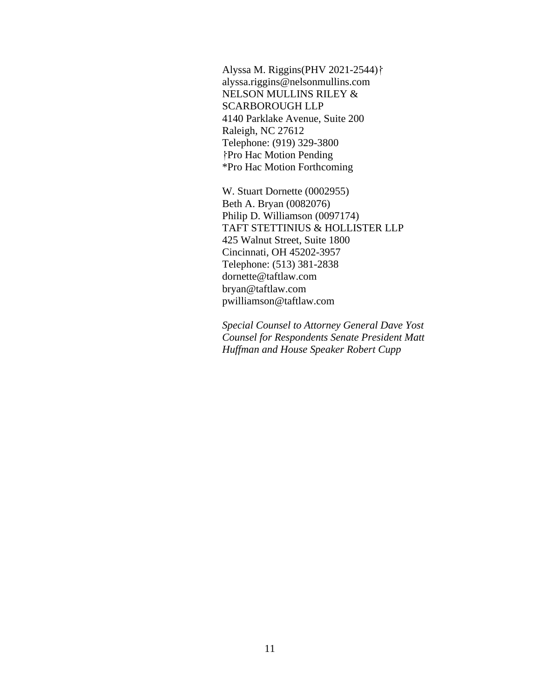Alyssa M. Riggins(PHV 2021-2544)} alyssa.riggins@nelsonmullins.com NELSON MULLINS RILEY & SCARBOROUGH LLP 4140 Parklake Avenue, Suite 200 Raleigh, NC 27612 Telephone: (919) 329-3800 ⸷Pro Hac Motion Pending \*Pro Hac Motion Forthcoming

W. Stuart Dornette (0002955) Beth A. Bryan (0082076) Philip D. Williamson (0097174) TAFT STETTINIUS & HOLLISTER LLP 425 Walnut Street, Suite 1800 Cincinnati, OH 45202-3957 Telephone: (513) 381-2838 dornette@taftlaw.com bryan@taftlaw.com pwilliamson@taftlaw.com

*Special Counsel to Attorney General Dave Yost Counsel for Respondents Senate President Matt Huffman and House Speaker Robert Cupp*